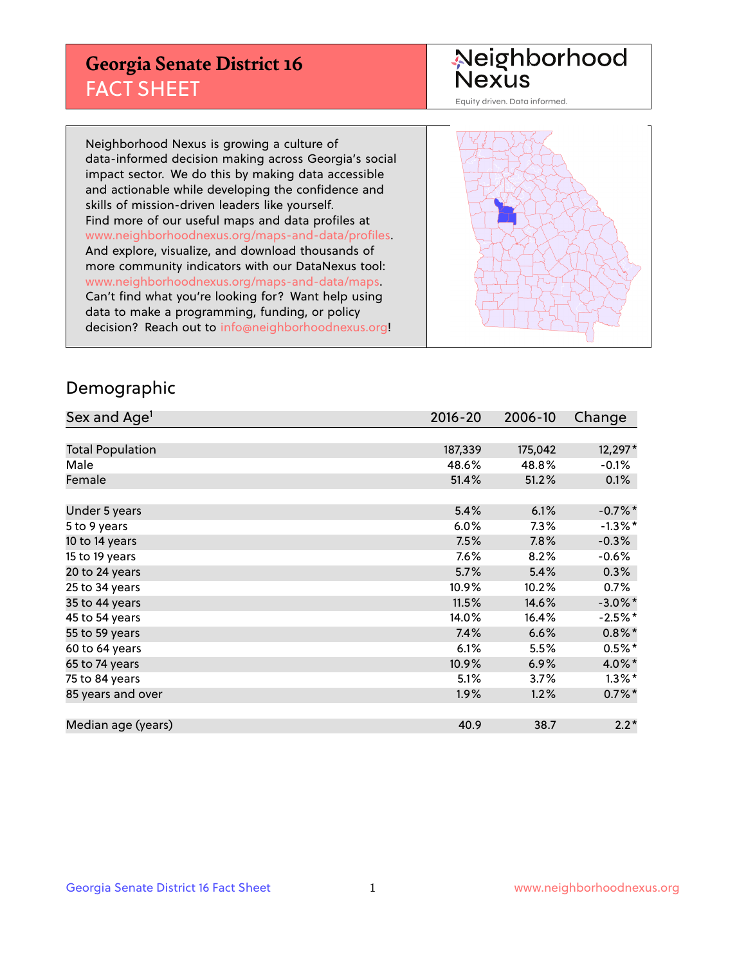## **Georgia Senate District 16** FACT SHEET

# Neighborhood<br>Nexus

Equity driven. Data informed.

Neighborhood Nexus is growing a culture of data-informed decision making across Georgia's social impact sector. We do this by making data accessible and actionable while developing the confidence and skills of mission-driven leaders like yourself. Find more of our useful maps and data profiles at www.neighborhoodnexus.org/maps-and-data/profiles. And explore, visualize, and download thousands of more community indicators with our DataNexus tool: www.neighborhoodnexus.org/maps-and-data/maps. Can't find what you're looking for? Want help using data to make a programming, funding, or policy decision? Reach out to [info@neighborhoodnexus.org!](mailto:info@neighborhoodnexus.org)



#### Demographic

| Sex and Age <sup>1</sup> | $2016 - 20$ | 2006-10 | Change     |
|--------------------------|-------------|---------|------------|
|                          |             |         |            |
| <b>Total Population</b>  | 187,339     | 175,042 | 12,297*    |
| Male                     | 48.6%       | 48.8%   | $-0.1\%$   |
| Female                   | 51.4%       | 51.2%   | 0.1%       |
|                          |             |         |            |
| Under 5 years            | 5.4%        | 6.1%    | $-0.7%$ *  |
| 5 to 9 years             | $6.0\%$     | $7.3\%$ | $-1.3\%$ * |
| 10 to 14 years           | 7.5%        | 7.8%    | $-0.3%$    |
| 15 to 19 years           | 7.6%        | 8.2%    | $-0.6%$    |
| 20 to 24 years           | 5.7%        | 5.4%    | 0.3%       |
| 25 to 34 years           | 10.9%       | 10.2%   | 0.7%       |
| 35 to 44 years           | 11.5%       | 14.6%   | $-3.0\%$ * |
| 45 to 54 years           | 14.0%       | 16.4%   | $-2.5%$ *  |
| 55 to 59 years           | 7.4%        | 6.6%    | $0.8\%$ *  |
| 60 to 64 years           | 6.1%        | 5.5%    | $0.5%$ *   |
| 65 to 74 years           | 10.9%       | 6.9%    | 4.0%*      |
| 75 to 84 years           | 5.1%        | 3.7%    | $1.3\%$ *  |
| 85 years and over        | 1.9%        | 1.2%    | $0.7\%$ *  |
|                          |             |         |            |
| Median age (years)       | 40.9        | 38.7    | $2.2*$     |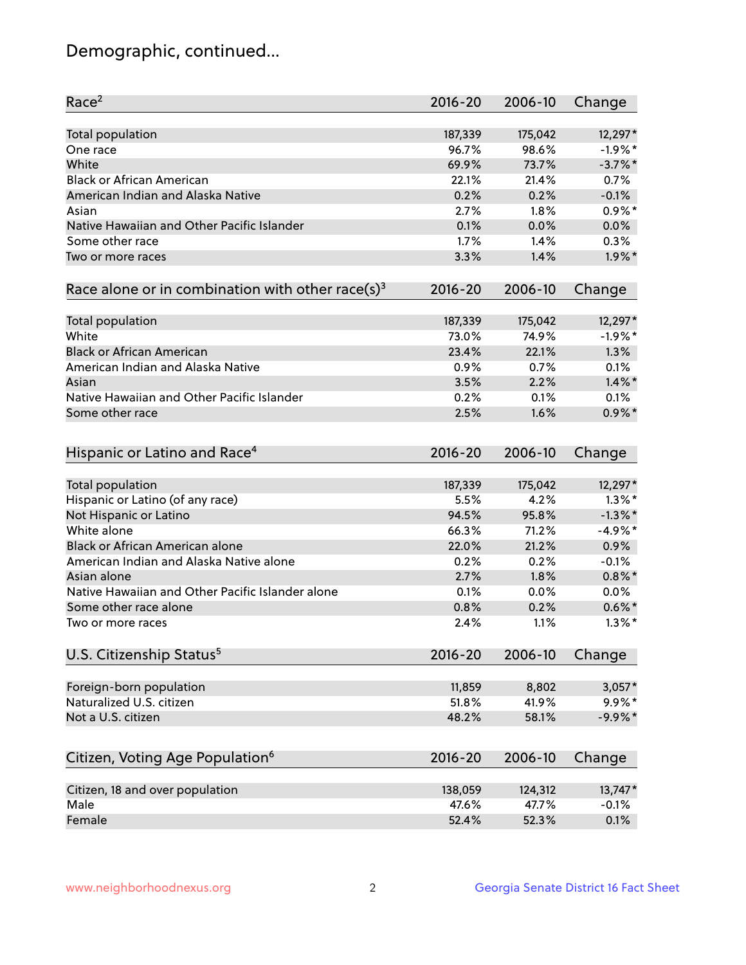## Demographic, continued...

| Race <sup>2</sup>                                            | $2016 - 20$ | 2006-10 | Change     |
|--------------------------------------------------------------|-------------|---------|------------|
| <b>Total population</b>                                      | 187,339     | 175,042 | 12,297*    |
| One race                                                     | 96.7%       | 98.6%   | $-1.9%$ *  |
| White                                                        | 69.9%       | 73.7%   | $-3.7\%$ * |
| <b>Black or African American</b>                             | 22.1%       | 21.4%   | 0.7%       |
| American Indian and Alaska Native                            | 0.2%        | 0.2%    | $-0.1%$    |
| Asian                                                        | 2.7%        | 1.8%    | $0.9\%$ *  |
| Native Hawaiian and Other Pacific Islander                   | 0.1%        | 0.0%    | 0.0%       |
| Some other race                                              | 1.7%        | 1.4%    | 0.3%       |
| Two or more races                                            | 3.3%        | 1.4%    | $1.9\%$ *  |
| Race alone or in combination with other race(s) <sup>3</sup> | $2016 - 20$ | 2006-10 | Change     |
| Total population                                             | 187,339     | 175,042 | 12,297*    |
| White                                                        | 73.0%       | 74.9%   | $-1.9%$ *  |
| <b>Black or African American</b>                             | 23.4%       | 22.1%   | 1.3%       |
| American Indian and Alaska Native                            | 0.9%        | 0.7%    | 0.1%       |
| Asian                                                        | 3.5%        | 2.2%    | $1.4\%$ *  |
| Native Hawaiian and Other Pacific Islander                   |             |         |            |
|                                                              | 0.2%        | 0.1%    | 0.1%       |
| Some other race                                              | 2.5%        | 1.6%    | $0.9\%$ *  |
| Hispanic or Latino and Race <sup>4</sup>                     | $2016 - 20$ | 2006-10 | Change     |
| <b>Total population</b>                                      | 187,339     | 175,042 | 12,297*    |
| Hispanic or Latino (of any race)                             | 5.5%        | 4.2%    | $1.3\%$ *  |
| Not Hispanic or Latino                                       | 94.5%       | 95.8%   | $-1.3\%$ * |
| White alone                                                  | 66.3%       | 71.2%   | $-4.9%$ *  |
| Black or African American alone                              | 22.0%       | 21.2%   | 0.9%       |
| American Indian and Alaska Native alone                      | 0.2%        | 0.2%    | $-0.1%$    |
| Asian alone                                                  | 2.7%        | 1.8%    | $0.8\%$ *  |
| Native Hawaiian and Other Pacific Islander alone             | 0.1%        | 0.0%    | 0.0%       |
| Some other race alone                                        | 0.8%        | 0.2%    | $0.6\%$ *  |
| Two or more races                                            | 2.4%        | 1.1%    | $1.3\%$ *  |
| U.S. Citizenship Status <sup>5</sup>                         | $2016 - 20$ | 2006-10 | Change     |
|                                                              |             |         |            |
| Foreign-born population                                      | 11,859      | 8,802   | $3,057*$   |
| Naturalized U.S. citizen                                     | 51.8%       | 41.9%   | $9.9\%$ *  |
| Not a U.S. citizen                                           | 48.2%       | 58.1%   | $-9.9%$ *  |
| Citizen, Voting Age Population <sup>6</sup>                  | 2016-20     | 2006-10 | Change     |
| Citizen, 18 and over population                              | 138,059     | 124,312 | 13,747*    |
| Male                                                         | 47.6%       | 47.7%   | $-0.1%$    |
|                                                              |             |         |            |
| Female                                                       | 52.4%       | 52.3%   | 0.1%       |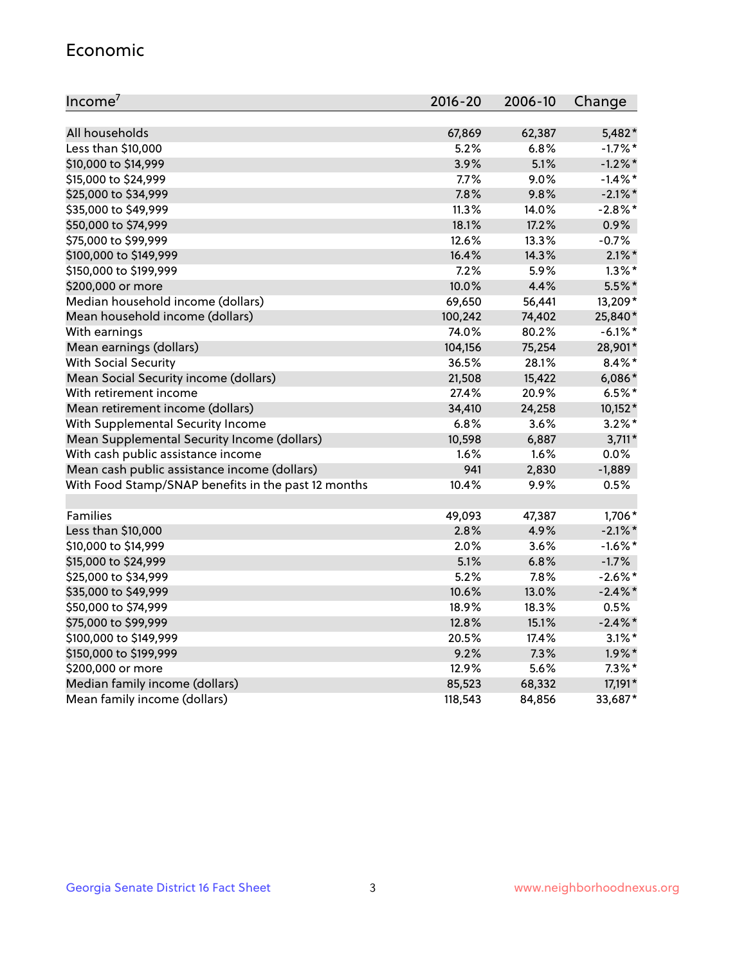#### Economic

| Income <sup>7</sup>                                 | $2016 - 20$ | 2006-10 | Change     |
|-----------------------------------------------------|-------------|---------|------------|
|                                                     |             |         |            |
| All households                                      | 67,869      | 62,387  | 5,482*     |
| Less than \$10,000                                  | 5.2%        | 6.8%    | $-1.7%$ *  |
| \$10,000 to \$14,999                                | 3.9%        | 5.1%    | $-1.2%$ *  |
| \$15,000 to \$24,999                                | 7.7%        | 9.0%    | $-1.4\%$ * |
| \$25,000 to \$34,999                                | 7.8%        | 9.8%    | $-2.1\%$ * |
| \$35,000 to \$49,999                                | 11.3%       | 14.0%   | $-2.8\%$ * |
| \$50,000 to \$74,999                                | 18.1%       | 17.2%   | 0.9%       |
| \$75,000 to \$99,999                                | 12.6%       | 13.3%   | $-0.7%$    |
| \$100,000 to \$149,999                              | 16.4%       | 14.3%   | $2.1\%$ *  |
| \$150,000 to \$199,999                              | 7.2%        | 5.9%    | $1.3\%$ *  |
| \$200,000 or more                                   | 10.0%       | 4.4%    | $5.5%$ *   |
| Median household income (dollars)                   | 69,650      | 56,441  | 13,209*    |
| Mean household income (dollars)                     | 100,242     | 74,402  | 25,840*    |
| With earnings                                       | 74.0%       | 80.2%   | $-6.1\%$ * |
| Mean earnings (dollars)                             | 104,156     | 75,254  | 28,901*    |
| <b>With Social Security</b>                         | 36.5%       | 28.1%   | $8.4\%$ *  |
| Mean Social Security income (dollars)               | 21,508      | 15,422  | $6,086*$   |
| With retirement income                              | 27.4%       | 20.9%   | $6.5%$ *   |
| Mean retirement income (dollars)                    | 34,410      | 24,258  | 10,152*    |
| With Supplemental Security Income                   | 6.8%        | 3.6%    | $3.2\%$ *  |
| Mean Supplemental Security Income (dollars)         | 10,598      | 6,887   | $3,711*$   |
| With cash public assistance income                  | 1.6%        | 1.6%    | 0.0%       |
| Mean cash public assistance income (dollars)        | 941         | 2,830   | $-1,889$   |
| With Food Stamp/SNAP benefits in the past 12 months | 10.4%       | 9.9%    | 0.5%       |
|                                                     |             |         |            |
| Families                                            | 49,093      | 47,387  | 1,706*     |
| Less than \$10,000                                  | 2.8%        | 4.9%    | $-2.1\%$ * |
| \$10,000 to \$14,999                                | 2.0%        | 3.6%    | $-1.6\%$ * |
| \$15,000 to \$24,999                                | 5.1%        | 6.8%    | $-1.7%$    |
| \$25,000 to \$34,999                                | 5.2%        | 7.8%    | $-2.6\%$ * |
| \$35,000 to \$49,999                                | 10.6%       | 13.0%   | $-2.4\%$ * |
| \$50,000 to \$74,999                                | 18.9%       | 18.3%   | 0.5%       |
| \$75,000 to \$99,999                                | 12.8%       | 15.1%   | $-2.4\%$ * |
| \$100,000 to \$149,999                              | 20.5%       | 17.4%   | $3.1\%$ *  |
| \$150,000 to \$199,999                              | 9.2%        | 7.3%    | $1.9\%$ *  |
| \$200,000 or more                                   | 12.9%       | 5.6%    | $7.3\%$ *  |
| Median family income (dollars)                      | 85,523      | 68,332  | 17,191*    |
| Mean family income (dollars)                        | 118,543     | 84,856  | 33,687*    |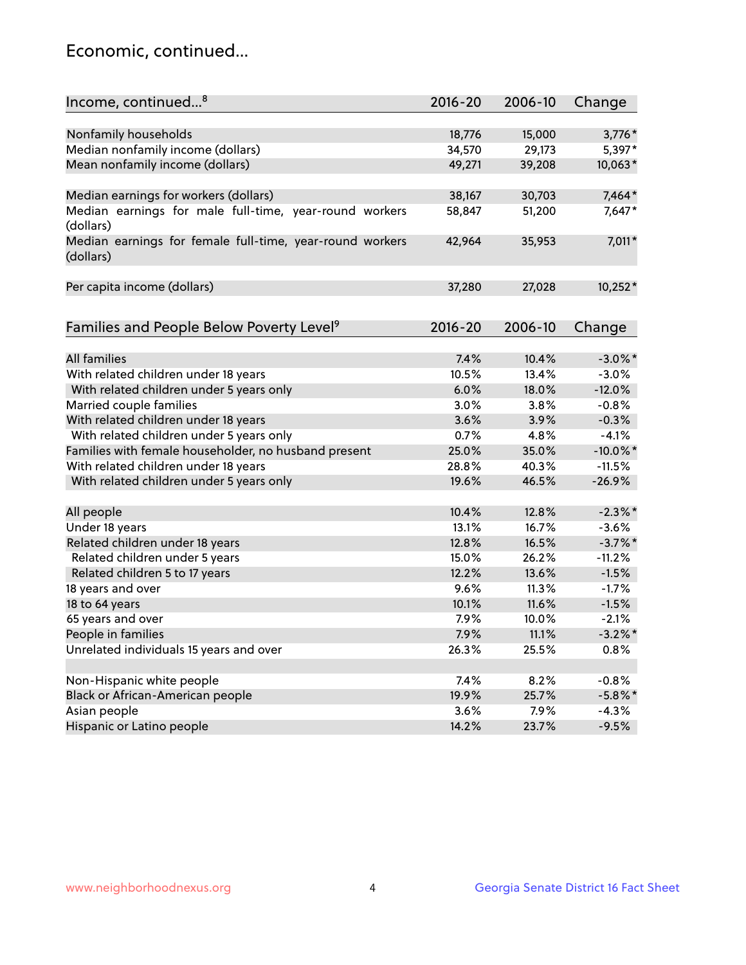## Economic, continued...

| Income, continued <sup>8</sup>                                        | $2016 - 20$ | 2006-10 | Change      |
|-----------------------------------------------------------------------|-------------|---------|-------------|
|                                                                       |             |         |             |
| Nonfamily households                                                  | 18,776      | 15,000  | $3,776*$    |
| Median nonfamily income (dollars)                                     | 34,570      | 29,173  | 5,397*      |
| Mean nonfamily income (dollars)                                       | 49,271      | 39,208  | 10,063*     |
| Median earnings for workers (dollars)                                 | 38,167      | 30,703  | 7,464*      |
| Median earnings for male full-time, year-round workers                | 58,847      | 51,200  | 7,647*      |
| (dollars)                                                             |             |         |             |
| Median earnings for female full-time, year-round workers<br>(dollars) | 42,964      | 35,953  | 7,011*      |
| Per capita income (dollars)                                           | 37,280      | 27,028  | 10,252*     |
|                                                                       |             |         |             |
| Families and People Below Poverty Level <sup>9</sup>                  | $2016 - 20$ | 2006-10 | Change      |
|                                                                       |             |         |             |
| <b>All families</b>                                                   | 7.4%        | 10.4%   | $-3.0\%$ *  |
| With related children under 18 years                                  | 10.5%       | 13.4%   | $-3.0%$     |
| With related children under 5 years only                              | 6.0%        | 18.0%   | $-12.0%$    |
| Married couple families                                               | 3.0%        | 3.8%    | $-0.8%$     |
| With related children under 18 years                                  | 3.6%        | 3.9%    | $-0.3%$     |
| With related children under 5 years only                              | 0.7%        | 4.8%    | $-4.1%$     |
| Families with female householder, no husband present                  | 25.0%       | 35.0%   | $-10.0\%$ * |
| With related children under 18 years                                  | 28.8%       | 40.3%   | $-11.5%$    |
| With related children under 5 years only                              | 19.6%       | 46.5%   | $-26.9%$    |
| All people                                                            | 10.4%       | 12.8%   | $-2.3\%$ *  |
| Under 18 years                                                        | 13.1%       | 16.7%   | $-3.6%$     |
| Related children under 18 years                                       | 12.8%       | 16.5%   | $-3.7%$ *   |
| Related children under 5 years                                        | 15.0%       | 26.2%   | $-11.2%$    |
| Related children 5 to 17 years                                        | 12.2%       | 13.6%   | $-1.5%$     |
| 18 years and over                                                     | 9.6%        | 11.3%   | $-1.7%$     |
| 18 to 64 years                                                        | 10.1%       | 11.6%   | $-1.5%$     |
| 65 years and over                                                     | 7.9%        | 10.0%   | $-2.1%$     |
| People in families                                                    | 7.9%        | 11.1%   | $-3.2\%$ *  |
| Unrelated individuals 15 years and over                               | 26.3%       | 25.5%   | 0.8%        |
|                                                                       |             |         |             |
| Non-Hispanic white people                                             | 7.4%        | 8.2%    | $-0.8%$     |
| Black or African-American people                                      | 19.9%       | 25.7%   | $-5.8\%$ *  |
| Asian people                                                          | 3.6%        | 7.9%    | $-4.3%$     |
| Hispanic or Latino people                                             | 14.2%       | 23.7%   | $-9.5%$     |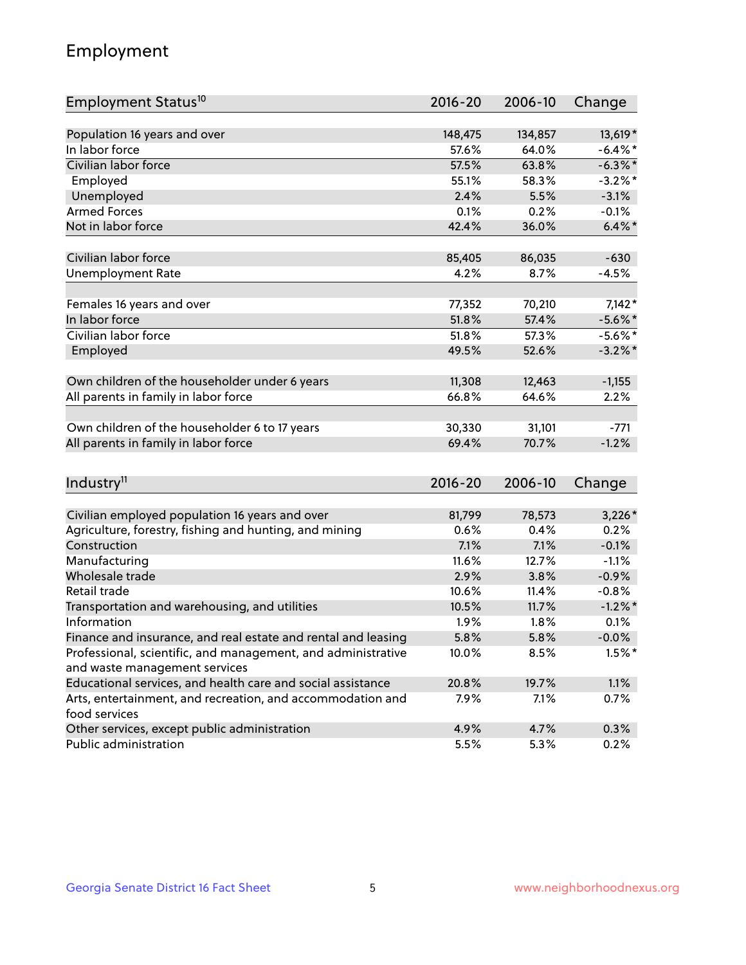## Employment

| Employment Status <sup>10</sup>                                                               | $2016 - 20$ | 2006-10 | Change                |
|-----------------------------------------------------------------------------------------------|-------------|---------|-----------------------|
|                                                                                               |             |         |                       |
| Population 16 years and over                                                                  | 148,475     | 134,857 | 13,619*               |
| In labor force                                                                                | 57.6%       | 64.0%   | $-6.4\%$ *            |
| Civilian labor force                                                                          | 57.5%       | 63.8%   | $-6.3\%$ *            |
| Employed                                                                                      | 55.1%       | 58.3%   | $-3.2\%$ *            |
| Unemployed                                                                                    | 2.4%        | 5.5%    | $-3.1%$               |
| <b>Armed Forces</b>                                                                           | 0.1%        | 0.2%    | $-0.1%$               |
| Not in labor force                                                                            | 42.4%       | 36.0%   | $6.4\%$ *             |
| Civilian labor force                                                                          | 85,405      | 86,035  | $-630$                |
| <b>Unemployment Rate</b>                                                                      | 4.2%        | 8.7%    | $-4.5%$               |
|                                                                                               |             |         |                       |
| Females 16 years and over                                                                     | 77,352      | 70,210  | $7,142*$              |
| In labor force                                                                                | 51.8%       | 57.4%   | $-5.6\%$ *            |
| Civilian labor force                                                                          | 51.8%       | 57.3%   | $-5.6\%$ *            |
| Employed                                                                                      | 49.5%       | 52.6%   | $-3.2\%$ *            |
| Own children of the householder under 6 years                                                 | 11,308      | 12,463  | $-1,155$              |
| All parents in family in labor force                                                          | 66.8%       | 64.6%   | 2.2%                  |
|                                                                                               |             |         |                       |
| Own children of the householder 6 to 17 years                                                 | 30,330      | 31,101  | $-771$                |
| All parents in family in labor force                                                          | 69.4%       | 70.7%   | $-1.2%$               |
|                                                                                               |             |         |                       |
| Industry <sup>11</sup>                                                                        | $2016 - 20$ | 2006-10 | Change                |
|                                                                                               |             |         |                       |
| Civilian employed population 16 years and over                                                | 81,799      | 78,573  | $3,226*$              |
| Agriculture, forestry, fishing and hunting, and mining                                        | 0.6%        | 0.4%    | 0.2%                  |
| Construction                                                                                  | 7.1%        | 7.1%    | $-0.1%$               |
| Manufacturing<br>Wholesale trade                                                              | 11.6%       | 12.7%   | $-1.1%$               |
|                                                                                               | 2.9%        | 3.8%    | $-0.9%$               |
| Retail trade                                                                                  | 10.6%       | 11.4%   | $-0.8%$<br>$-1.2\%$ * |
| Transportation and warehousing, and utilities<br>Information                                  | 10.5%       | 11.7%   |                       |
|                                                                                               | 1.9%        | 1.8%    | 0.1%                  |
| Finance and insurance, and real estate and rental and leasing                                 | 5.8%        | 5.8%    | $-0.0\%$              |
| Professional, scientific, and management, and administrative<br>and waste management services | 10.0%       | 8.5%    | $1.5\%$ *             |
| Educational services, and health care and social assistance                                   | 20.8%       | 19.7%   | 1.1%                  |
| Arts, entertainment, and recreation, and accommodation and                                    | 7.9%        | 7.1%    | 0.7%                  |
| food services                                                                                 |             |         |                       |
| Other services, except public administration                                                  | 4.9%        | 4.7%    | 0.3%                  |
| Public administration                                                                         | 5.5%        | 5.3%    | 0.2%                  |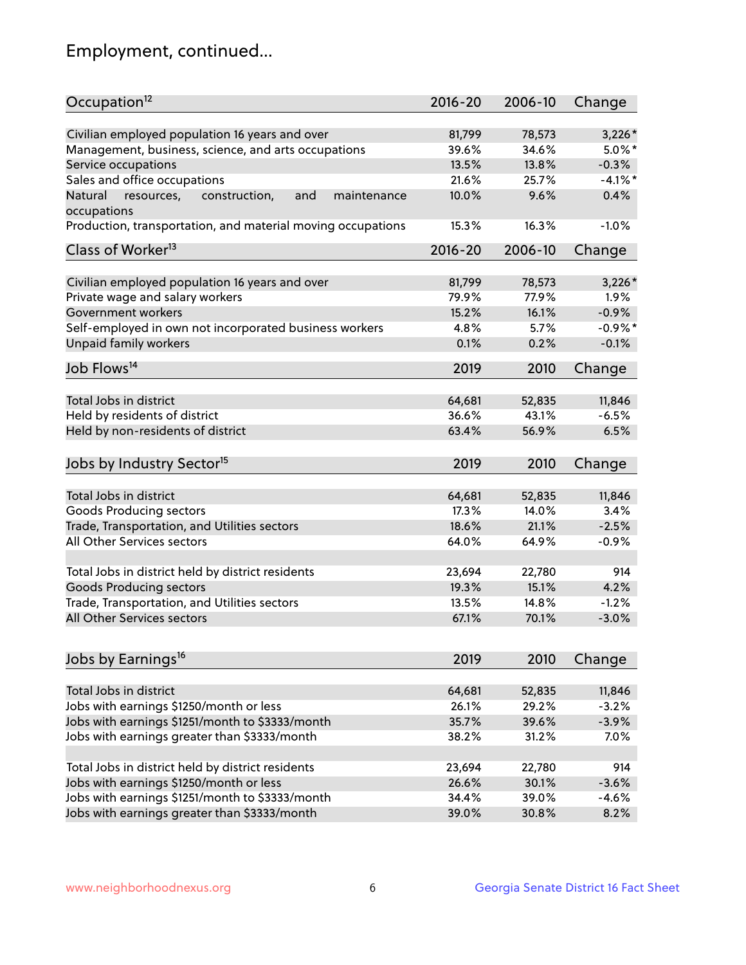## Employment, continued...

| Occupation <sup>12</sup>                                     | $2016 - 20$ | 2006-10 | Change     |
|--------------------------------------------------------------|-------------|---------|------------|
| Civilian employed population 16 years and over               | 81,799      | 78,573  | $3,226*$   |
| Management, business, science, and arts occupations          | 39.6%       | 34.6%   | $5.0\%$ *  |
| Service occupations                                          | 13.5%       | 13.8%   | $-0.3%$    |
| Sales and office occupations                                 | 21.6%       | 25.7%   | $-4.1\%$ * |
| Natural<br>and<br>maintenance<br>resources,<br>construction, | 10.0%       | 9.6%    | 0.4%       |
| occupations                                                  |             |         |            |
| Production, transportation, and material moving occupations  | 15.3%       | 16.3%   | $-1.0%$    |
| Class of Worker <sup>13</sup>                                | $2016 - 20$ | 2006-10 | Change     |
|                                                              |             |         |            |
| Civilian employed population 16 years and over               | 81,799      | 78,573  | 3,226*     |
| Private wage and salary workers                              | 79.9%       | 77.9%   | 1.9%       |
| Government workers                                           | 15.2%       | 16.1%   | $-0.9%$    |
| Self-employed in own not incorporated business workers       | 4.8%        | 5.7%    | $-0.9%$ *  |
| Unpaid family workers                                        | 0.1%        | 0.2%    | $-0.1%$    |
| Job Flows <sup>14</sup>                                      | 2019        | 2010    | Change     |
|                                                              |             |         |            |
| Total Jobs in district                                       | 64,681      | 52,835  | 11,846     |
| Held by residents of district                                | 36.6%       | 43.1%   | $-6.5%$    |
| Held by non-residents of district                            | 63.4%       | 56.9%   | 6.5%       |
| Jobs by Industry Sector <sup>15</sup>                        | 2019        | 2010    | Change     |
|                                                              |             |         |            |
| Total Jobs in district                                       | 64,681      | 52,835  | 11,846     |
| Goods Producing sectors                                      | 17.3%       | 14.0%   | 3.4%       |
| Trade, Transportation, and Utilities sectors                 | 18.6%       | 21.1%   | $-2.5%$    |
| All Other Services sectors                                   | 64.0%       | 64.9%   | $-0.9%$    |
| Total Jobs in district held by district residents            | 23,694      | 22,780  | 914        |
| <b>Goods Producing sectors</b>                               | 19.3%       | 15.1%   | 4.2%       |
|                                                              |             |         |            |
| Trade, Transportation, and Utilities sectors                 | 13.5%       | 14.8%   | $-1.2%$    |
| All Other Services sectors                                   | 67.1%       | 70.1%   | $-3.0%$    |
| Jobs by Earnings <sup>16</sup>                               | 2019        | 2010    | Change     |
|                                                              |             |         |            |
| Total Jobs in district                                       | 64,681      | 52,835  | 11,846     |
| Jobs with earnings \$1250/month or less                      | 26.1%       | 29.2%   | $-3.2%$    |
| Jobs with earnings \$1251/month to \$3333/month              | 35.7%       | 39.6%   | $-3.9%$    |
| Jobs with earnings greater than \$3333/month                 | 38.2%       | 31.2%   | 7.0%       |
|                                                              |             |         |            |
| Total Jobs in district held by district residents            | 23,694      | 22,780  | 914        |
| Jobs with earnings \$1250/month or less                      | 26.6%       | 30.1%   | $-3.6%$    |
| Jobs with earnings \$1251/month to \$3333/month              | 34.4%       | 39.0%   | $-4.6%$    |
| Jobs with earnings greater than \$3333/month                 | 39.0%       | 30.8%   | 8.2%       |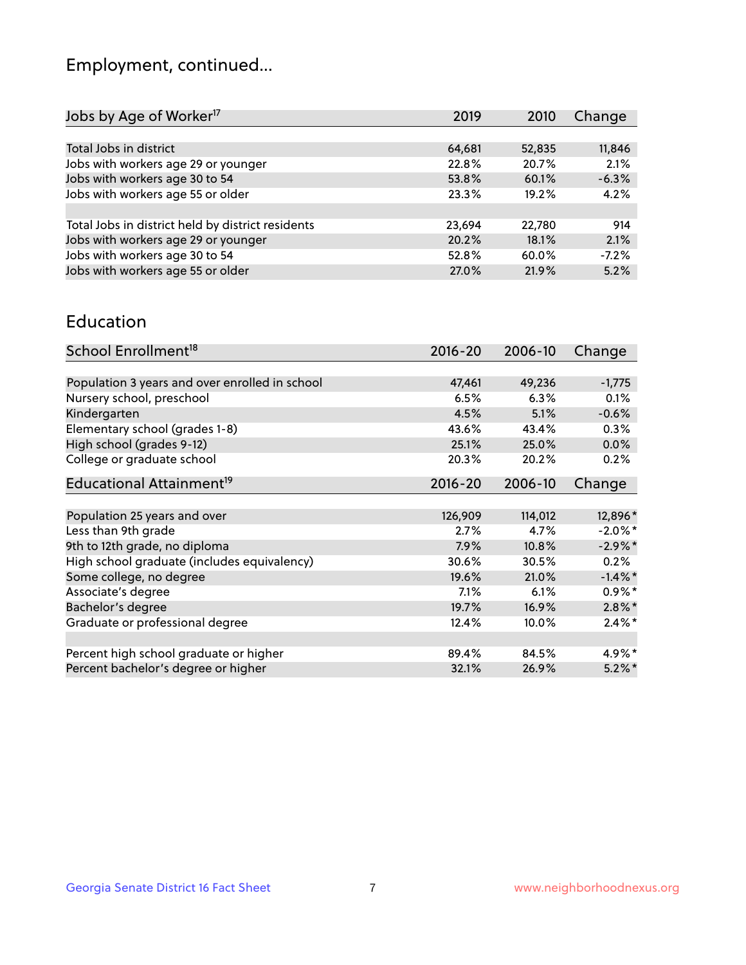## Employment, continued...

| Jobs by Age of Worker <sup>17</sup>               | 2019   | 2010   | Change  |
|---------------------------------------------------|--------|--------|---------|
|                                                   |        |        |         |
| Total Jobs in district                            | 64,681 | 52,835 | 11,846  |
| Jobs with workers age 29 or younger               | 22.8%  | 20.7%  | 2.1%    |
| Jobs with workers age 30 to 54                    | 53.8%  | 60.1%  | $-6.3%$ |
| Jobs with workers age 55 or older                 | 23.3%  | 19.2%  | 4.2%    |
|                                                   |        |        |         |
| Total Jobs in district held by district residents | 23,694 | 22,780 | 914     |
| Jobs with workers age 29 or younger               | 20.2%  | 18.1%  | 2.1%    |
| Jobs with workers age 30 to 54                    | 52.8%  | 60.0%  | $-7.2%$ |
| Jobs with workers age 55 or older                 | 27.0%  | 21.9%  | 5.2%    |
|                                                   |        |        |         |

#### Education

| School Enrollment <sup>18</sup>                | $2016 - 20$ | 2006-10 | Change     |
|------------------------------------------------|-------------|---------|------------|
|                                                |             |         |            |
| Population 3 years and over enrolled in school | 47,461      | 49,236  | $-1,775$   |
| Nursery school, preschool                      | 6.5%        | 6.3%    | 0.1%       |
| Kindergarten                                   | 4.5%        | 5.1%    | $-0.6%$    |
| Elementary school (grades 1-8)                 | 43.6%       | 43.4%   | 0.3%       |
| High school (grades 9-12)                      | 25.1%       | 25.0%   | $0.0\%$    |
| College or graduate school                     | 20.3%       | 20.2%   | 0.2%       |
| Educational Attainment <sup>19</sup>           | $2016 - 20$ | 2006-10 | Change     |
|                                                |             |         |            |
| Population 25 years and over                   | 126,909     | 114,012 | 12,896*    |
| Less than 9th grade                            | 2.7%        | 4.7%    | $-2.0\%$ * |
| 9th to 12th grade, no diploma                  | 7.9%        | 10.8%   | $-2.9\%$ * |
| High school graduate (includes equivalency)    | 30.6%       | 30.5%   | 0.2%       |
| Some college, no degree                        | 19.6%       | 21.0%   | $-1.4\%$ * |
| Associate's degree                             | 7.1%        | 6.1%    | $0.9\%*$   |
| Bachelor's degree                              | 19.7%       | 16.9%   | $2.8\%$ *  |
| Graduate or professional degree                | 12.4%       | 10.0%   | $2.4\%$ *  |
|                                                |             |         |            |
| Percent high school graduate or higher         | 89.4%       | 84.5%   | 4.9%*      |
| Percent bachelor's degree or higher            | 32.1%       | 26.9%   | $5.2\%$ *  |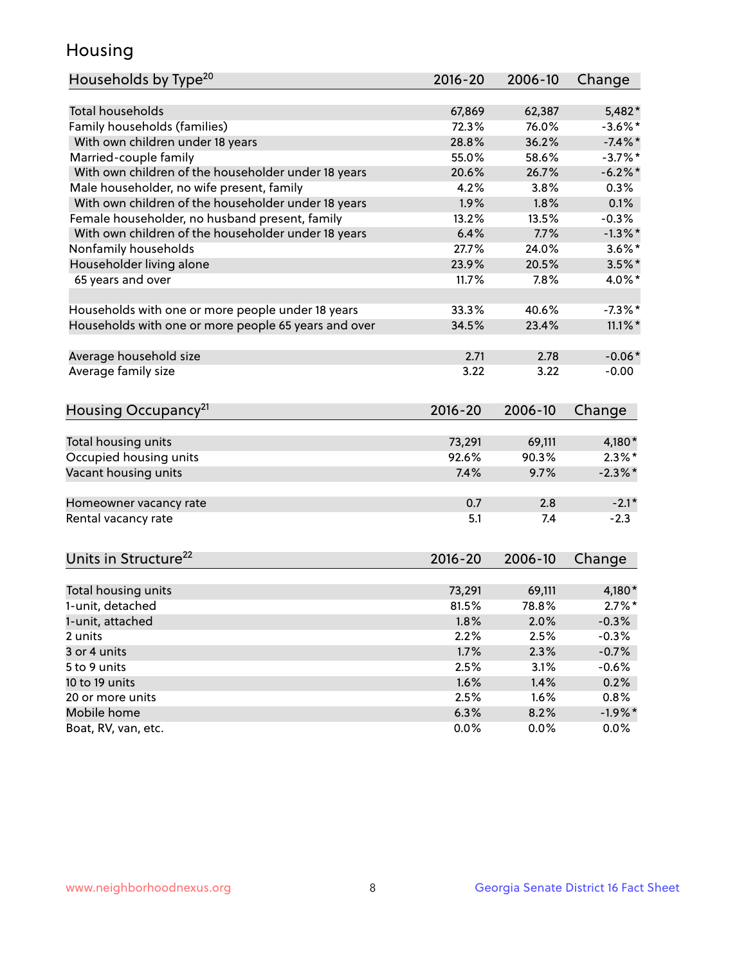## Housing

| Households by Type <sup>20</sup>                     | 2016-20     | 2006-10 | Change              |
|------------------------------------------------------|-------------|---------|---------------------|
|                                                      |             |         |                     |
| <b>Total households</b>                              | 67,869      | 62,387  | $5,482*$            |
| Family households (families)                         | 72.3%       | 76.0%   | $-3.6\%$ *          |
| With own children under 18 years                     | 28.8%       | 36.2%   | $-7.4\%$ *          |
| Married-couple family                                | 55.0%       | 58.6%   | $-3.7%$ *           |
| With own children of the householder under 18 years  | 20.6%       | 26.7%   | $-6.2\%$ *          |
| Male householder, no wife present, family            | 4.2%        | 3.8%    | 0.3%                |
| With own children of the householder under 18 years  | 1.9%        | 1.8%    | 0.1%                |
| Female householder, no husband present, family       | 13.2%       | 13.5%   | $-0.3%$             |
| With own children of the householder under 18 years  | 6.4%        | 7.7%    | $-1.3\%$ *          |
| Nonfamily households                                 | 27.7%       | 24.0%   | $3.6\%$ *           |
| Householder living alone                             | 23.9%       | 20.5%   | $3.5%$ *            |
| 65 years and over                                    | 11.7%       | 7.8%    | 4.0%*               |
|                                                      |             |         |                     |
| Households with one or more people under 18 years    | 33.3%       | 40.6%   | $-7.3\%$ *          |
| Households with one or more people 65 years and over | 34.5%       | 23.4%   | $11.1\%$ *          |
| Average household size                               | 2.71        | 2.78    | $-0.06*$            |
| Average family size                                  | 3.22        | 3.22    | $-0.00$             |
|                                                      |             |         |                     |
| Housing Occupancy <sup>21</sup>                      | $2016 - 20$ | 2006-10 | Change              |
|                                                      |             |         |                     |
| Total housing units                                  | 73,291      | 69,111  | 4,180*              |
| Occupied housing units                               | 92.6%       | 90.3%   | $2.3\%$ *           |
| Vacant housing units                                 | 7.4%        | 9.7%    | $-2.3\%$ *          |
| Homeowner vacancy rate                               | 0.7         | 2.8     | $-2.1*$             |
| Rental vacancy rate                                  | 5.1         | 7.4     | $-2.3$              |
|                                                      |             |         |                     |
| Units in Structure <sup>22</sup>                     | $2016 - 20$ | 2006-10 | Change              |
| Total housing units                                  | 73,291      | 69,111  |                     |
| 1-unit, detached                                     | 81.5%       | 78.8%   | 4,180*<br>$2.7\%$ * |
|                                                      |             | 2.0%    | $-0.3%$             |
| 1-unit, attached<br>2 units                          | 1.8%        |         |                     |
|                                                      | 2.2%        | 2.5%    | $-0.3%$             |
| 3 or 4 units                                         | 1.7%        | 2.3%    | $-0.7%$             |
| 5 to 9 units                                         | 2.5%        | 3.1%    | $-0.6%$             |
| 10 to 19 units                                       | 1.6%        | 1.4%    | 0.2%                |
| 20 or more units                                     | 2.5%        | 1.6%    | 0.8%                |
| Mobile home                                          | 6.3%        | 8.2%    | $-1.9%$ *           |
| Boat, RV, van, etc.                                  | 0.0%        | 0.0%    | 0.0%                |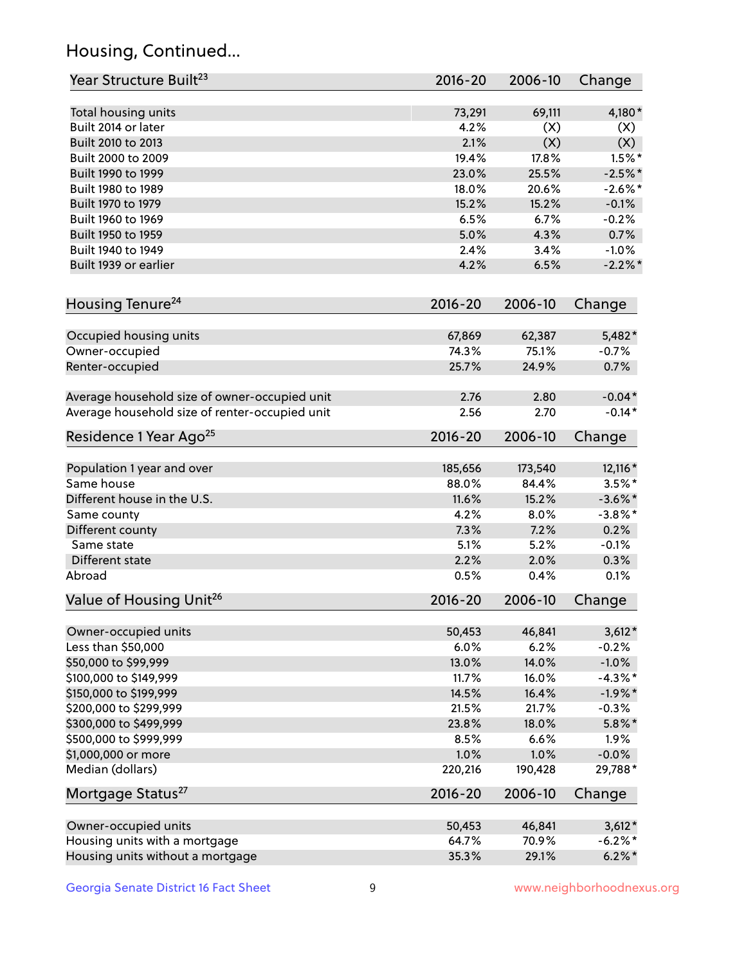## Housing, Continued...

| Year Structure Built <sup>23</sup>             | 2016-20     | 2006-10 | Change     |
|------------------------------------------------|-------------|---------|------------|
| Total housing units                            | 73,291      | 69,111  | 4,180*     |
| Built 2014 or later                            | 4.2%        | (X)     | (X)        |
| Built 2010 to 2013                             | 2.1%        | (X)     | (X)        |
| Built 2000 to 2009                             | 19.4%       | 17.8%   | $1.5%$ *   |
| Built 1990 to 1999                             | 23.0%       | 25.5%   | $-2.5%$ *  |
| Built 1980 to 1989                             | 18.0%       | 20.6%   | $-2.6\%$ * |
| Built 1970 to 1979                             | 15.2%       | 15.2%   | $-0.1%$    |
| Built 1960 to 1969                             | 6.5%        | 6.7%    | $-0.2%$    |
| Built 1950 to 1959                             | 5.0%        | 4.3%    | 0.7%       |
| Built 1940 to 1949                             | 2.4%        | 3.4%    | $-1.0%$    |
| Built 1939 or earlier                          | 4.2%        | 6.5%    | $-2.2%$    |
| Housing Tenure <sup>24</sup>                   | $2016 - 20$ | 2006-10 | Change     |
| Occupied housing units                         | 67,869      | 62,387  | 5,482*     |
| Owner-occupied                                 | 74.3%       | 75.1%   | $-0.7%$    |
| Renter-occupied                                | 25.7%       | 24.9%   | 0.7%       |
| Average household size of owner-occupied unit  | 2.76        | 2.80    | $-0.04*$   |
| Average household size of renter-occupied unit | 2.56        | 2.70    | $-0.14*$   |
| Residence 1 Year Ago <sup>25</sup>             | $2016 - 20$ | 2006-10 | Change     |
| Population 1 year and over                     | 185,656     | 173,540 | 12,116 *   |
| Same house                                     | 88.0%       | 84.4%   | $3.5\%$ *  |
| Different house in the U.S.                    | 11.6%       | 15.2%   | $-3.6\%$ * |
| Same county                                    | 4.2%        | 8.0%    | $-3.8\%$ * |
| Different county                               | 7.3%        | 7.2%    | 0.2%       |
| Same state                                     | 5.1%        | 5.2%    | $-0.1%$    |
| Different state                                | 2.2%        | 2.0%    | 0.3%       |
| Abroad                                         | 0.5%        | 0.4%    | 0.1%       |
| Value of Housing Unit <sup>26</sup>            | $2016 - 20$ | 2006-10 | Change     |
| Owner-occupied units                           | 50,453      | 46,841  | $3,612*$   |
| Less than \$50,000                             | 6.0%        | 6.2%    | $-0.2%$    |
| \$50,000 to \$99,999                           | 13.0%       | 14.0%   | $-1.0%$    |
| \$100,000 to \$149,999                         | 11.7%       | 16.0%   | $-4.3\%$ * |
| \$150,000 to \$199,999                         | 14.5%       | 16.4%   | $-1.9%$ *  |
| \$200,000 to \$299,999                         | 21.5%       | 21.7%   | $-0.3%$    |
| \$300,000 to \$499,999                         | 23.8%       | 18.0%   | $5.8\%$ *  |
| \$500,000 to \$999,999                         | 8.5%        | 6.6%    | 1.9%       |
| \$1,000,000 or more                            | 1.0%        | 1.0%    | $-0.0%$    |
| Median (dollars)                               | 220,216     | 190,428 | 29,788*    |
| Mortgage Status <sup>27</sup>                  | $2016 - 20$ | 2006-10 | Change     |
| Owner-occupied units                           | 50,453      | 46,841  | $3,612*$   |
| Housing units with a mortgage                  | 64.7%       | 70.9%   | $-6.2\%$ * |
| Housing units without a mortgage               | 35.3%       | 29.1%   | $6.2\% *$  |
|                                                |             |         |            |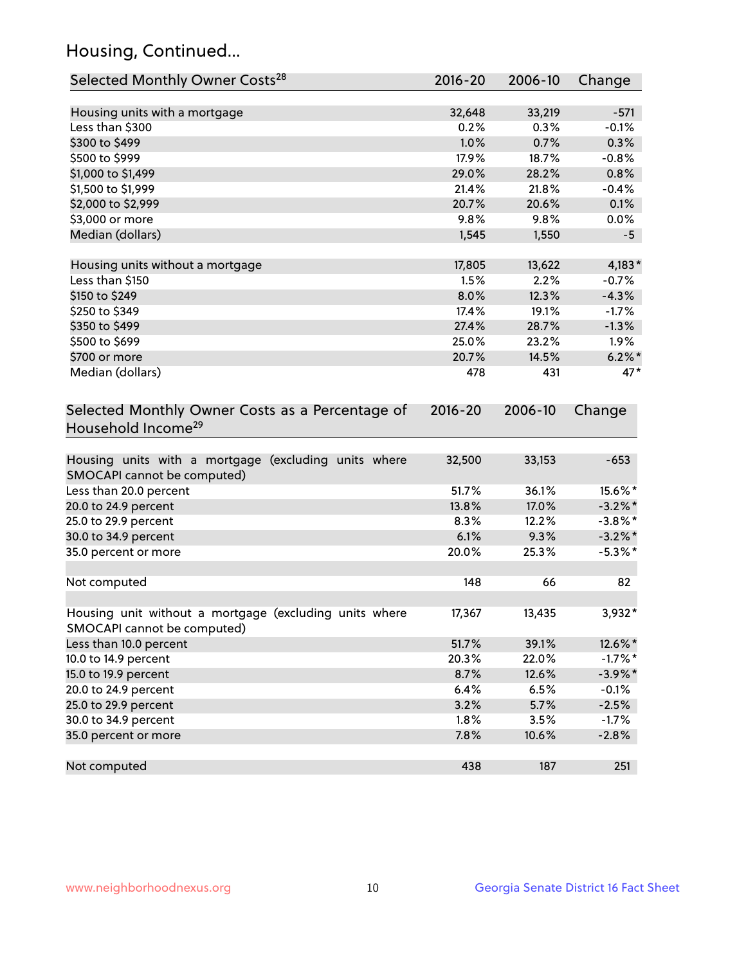## Housing, Continued...

| Selected Monthly Owner Costs <sup>28</sup>                                            | 2016-20 | 2006-10 | Change     |
|---------------------------------------------------------------------------------------|---------|---------|------------|
| Housing units with a mortgage                                                         | 32,648  | 33,219  | $-571$     |
| Less than \$300                                                                       | 0.2%    | 0.3%    | $-0.1%$    |
| \$300 to \$499                                                                        | 1.0%    | 0.7%    | 0.3%       |
| \$500 to \$999                                                                        | 17.9%   | 18.7%   | $-0.8%$    |
| \$1,000 to \$1,499                                                                    | 29.0%   | 28.2%   | 0.8%       |
| \$1,500 to \$1,999                                                                    | 21.4%   | 21.8%   | $-0.4%$    |
| \$2,000 to \$2,999                                                                    | 20.7%   | 20.6%   | 0.1%       |
| \$3,000 or more                                                                       | 9.8%    | 9.8%    | 0.0%       |
| Median (dollars)                                                                      | 1,545   | 1,550   | $-5$       |
| Housing units without a mortgage                                                      | 17,805  | 13,622  | $4,183*$   |
| Less than \$150                                                                       | 1.5%    | 2.2%    | $-0.7%$    |
| \$150 to \$249                                                                        | 8.0%    | 12.3%   | $-4.3%$    |
| \$250 to \$349                                                                        | 17.4%   | 19.1%   | $-1.7%$    |
| \$350 to \$499                                                                        | 27.4%   | 28.7%   | $-1.3%$    |
| \$500 to \$699                                                                        | 25.0%   | 23.2%   | 1.9%       |
| \$700 or more                                                                         | 20.7%   | 14.5%   | $6.2\%$ *  |
| Median (dollars)                                                                      | 478     | 431     | $47*$      |
| Household Income <sup>29</sup>                                                        |         |         |            |
| Housing units with a mortgage (excluding units where<br>SMOCAPI cannot be computed)   | 32,500  | 33,153  | $-653$     |
| Less than 20.0 percent                                                                | 51.7%   | 36.1%   | 15.6%*     |
| 20.0 to 24.9 percent                                                                  | 13.8%   | 17.0%   | $-3.2\%$ * |
| 25.0 to 29.9 percent                                                                  | 8.3%    | 12.2%   | $-3.8\%$ * |
| 30.0 to 34.9 percent                                                                  | 6.1%    | 9.3%    | $-3.2\%$ * |
| 35.0 percent or more                                                                  | 20.0%   | 25.3%   | $-5.3\%$ * |
| Not computed                                                                          | 148     | 66      | 82         |
| Housing unit without a mortgage (excluding units where<br>SMOCAPI cannot be computed) | 17,367  | 13,435  | $3,932*$   |
| Less than 10.0 percent                                                                | 51.7%   | 39.1%   | 12.6%*     |
| 10.0 to 14.9 percent                                                                  | 20.3%   | 22.0%   | $-1.7\%$ * |
| 15.0 to 19.9 percent                                                                  | 8.7%    | 12.6%   | $-3.9\%$ * |
| 20.0 to 24.9 percent                                                                  | 6.4%    | 6.5%    | $-0.1%$    |
| 25.0 to 29.9 percent                                                                  | 3.2%    | 5.7%    | $-2.5%$    |
| 30.0 to 34.9 percent                                                                  | 1.8%    | 3.5%    | $-1.7%$    |
| 35.0 percent or more                                                                  | 7.8%    | 10.6%   | $-2.8%$    |
| Not computed                                                                          | 438     | 187     | 251        |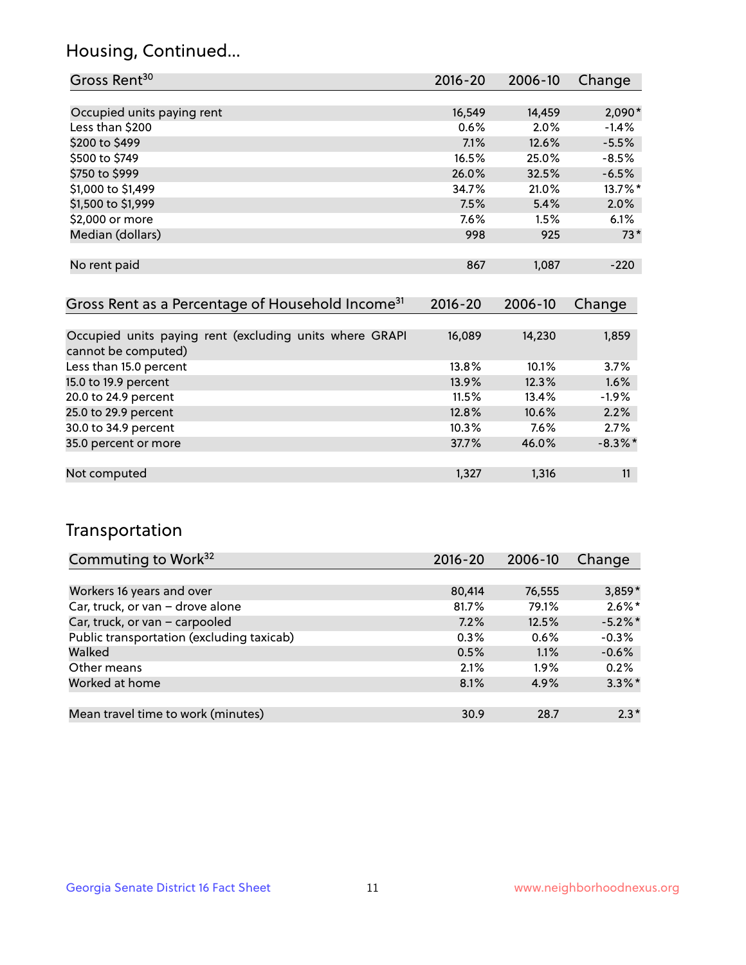### Housing, Continued...

| Gross Rent <sup>30</sup>                                     | 2016-20     | 2006-10 | Change     |
|--------------------------------------------------------------|-------------|---------|------------|
|                                                              |             |         |            |
| Occupied units paying rent                                   | 16,549      | 14,459  | $2,090*$   |
| Less than \$200                                              | 0.6%        | 2.0%    | $-1.4%$    |
| \$200 to \$499                                               | 7.1%        | 12.6%   | $-5.5%$    |
| \$500 to \$749                                               | 16.5%       | 25.0%   | $-8.5%$    |
| \$750 to \$999                                               | 26.0%       | 32.5%   | $-6.5%$    |
| \$1,000 to \$1,499                                           | 34.7%       | 21.0%   | $13.7\%$ * |
| \$1,500 to \$1,999                                           | 7.5%        | 5.4%    | 2.0%       |
| \$2,000 or more                                              | 7.6%        | 1.5%    | 6.1%       |
| Median (dollars)                                             | 998         | 925     | $73*$      |
|                                                              |             |         |            |
| No rent paid                                                 | 867         | 1,087   | $-220$     |
|                                                              |             |         |            |
| Gross Rent as a Percentage of Household Income <sup>31</sup> | $2016 - 20$ | 2006-10 | Change     |

| Occupied units paying rent (excluding units where GRAPI<br>cannot be computed) | 16,089 | 14,230  | 1,859      |
|--------------------------------------------------------------------------------|--------|---------|------------|
| Less than 15.0 percent                                                         | 13.8%  | 10.1%   | 3.7%       |
| 15.0 to 19.9 percent                                                           | 13.9%  | 12.3%   | 1.6%       |
| 20.0 to 24.9 percent                                                           | 11.5%  | 13.4%   | $-1.9%$    |
| 25.0 to 29.9 percent                                                           | 12.8%  | 10.6%   | 2.2%       |
| 30.0 to 34.9 percent                                                           | 10.3%  | $7.6\%$ | 2.7%       |
| 35.0 percent or more                                                           | 37.7%  | 46.0%   | $-8.3\%$ * |
|                                                                                |        |         |            |
| Not computed                                                                   | 1,327  | 1,316   | 11         |
|                                                                                |        |         |            |

### Transportation

| Commuting to Work <sup>32</sup>           | $2016 - 20$ | 2006-10 | Change     |
|-------------------------------------------|-------------|---------|------------|
|                                           |             |         |            |
| Workers 16 years and over                 | 80,414      | 76,555  | $3,859*$   |
| Car, truck, or van - drove alone          | 81.7%       | 79.1%   | $2.6\%$ *  |
| Car, truck, or van - carpooled            | 7.2%        | 12.5%   | $-5.2\%$ * |
| Public transportation (excluding taxicab) | 0.3%        | 0.6%    | $-0.3%$    |
| Walked                                    | 0.5%        | 1.1%    | $-0.6%$    |
| Other means                               | 2.1%        | $1.9\%$ | 0.2%       |
| Worked at home                            | 8.1%        | 4.9%    | $3.3\%$ *  |
|                                           |             |         |            |
| Mean travel time to work (minutes)        | 30.9        | 28.7    | $2.3*$     |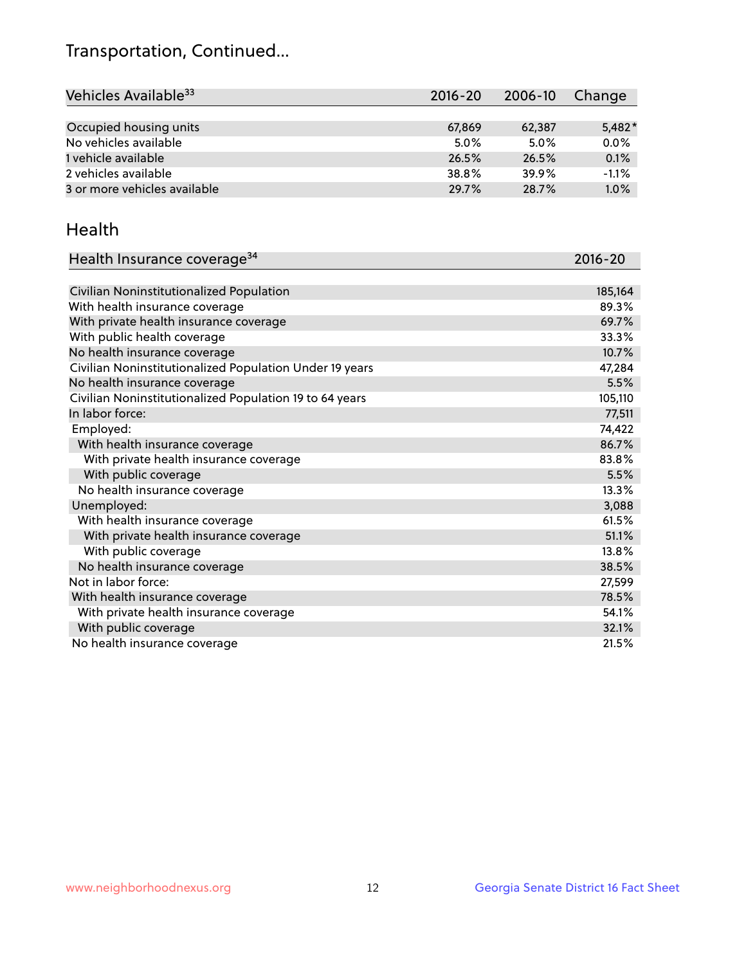## Transportation, Continued...

| Vehicles Available <sup>33</sup> | $2016 - 20$ | 2006-10 | Change   |
|----------------------------------|-------------|---------|----------|
|                                  |             |         |          |
| Occupied housing units           | 67,869      | 62,387  | $5,482*$ |
| No vehicles available            | 5.0%        | 5.0%    | 0.0%     |
| 1 vehicle available              | 26.5%       | 26.5%   | 0.1%     |
| 2 vehicles available             | 38.8%       | 39.9%   | $-1.1%$  |
| 3 or more vehicles available     | 29.7%       | 28.7%   | 1.0%     |

#### Health

| Health Insurance coverage <sup>34</sup>                 | 2016-20 |
|---------------------------------------------------------|---------|
|                                                         |         |
| Civilian Noninstitutionalized Population                | 185,164 |
| With health insurance coverage                          | 89.3%   |
| With private health insurance coverage                  | 69.7%   |
| With public health coverage                             | 33.3%   |
| No health insurance coverage                            | 10.7%   |
| Civilian Noninstitutionalized Population Under 19 years | 47,284  |
| No health insurance coverage                            | 5.5%    |
| Civilian Noninstitutionalized Population 19 to 64 years | 105,110 |
| In labor force:                                         | 77,511  |
| Employed:                                               | 74,422  |
| With health insurance coverage                          | 86.7%   |
| With private health insurance coverage                  | 83.8%   |
| With public coverage                                    | 5.5%    |
| No health insurance coverage                            | 13.3%   |
| Unemployed:                                             | 3,088   |
| With health insurance coverage                          | 61.5%   |
| With private health insurance coverage                  | 51.1%   |
| With public coverage                                    | 13.8%   |
| No health insurance coverage                            | 38.5%   |
| Not in labor force:                                     | 27,599  |
| With health insurance coverage                          | 78.5%   |
| With private health insurance coverage                  | 54.1%   |
| With public coverage                                    | 32.1%   |
| No health insurance coverage                            | 21.5%   |